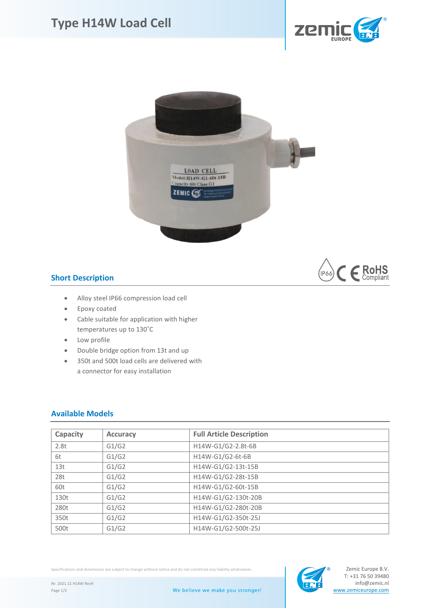





## **Short Description**

- Alloy steel IP66 compression load cell
- Epoxy coated
- Cable suitable for application with higher temperatures up to 130˚C
- Low profile
- Double bridge option from 13t and up
- 350t and 500t load cells are delivered with a connector for easy installation

## **Available Models**

| Capacity | <b>Accuracy</b> | <b>Full Article Description</b> |
|----------|-----------------|---------------------------------|
| 2.8t     | G1/G2           | H14W-G1/G2-2.8t-6B              |
| 6t       | G1/G2           | H14W-G1/G2-6t-6B                |
| 13t      | G1/G2           | H14W-G1/G2-13t-15B              |
| 28t      | G1/G2           | H14W-G1/G2-28t-15B              |
| 60t      | G1/G2           | H14W-G1/G2-60t-15B              |
| 130t     | G1/G2           | H14W-G1/G2-130t-20B             |
| 280t     | G1/G2           | H14W-G1/G2-280t-20B             |
| 350t     | G1/G2           | H14W-G1/G2-350t-25J             |
| 500t     | G1/G2           | H14W-G1/G2-500t-25J             |

Specifications and dimensions are subject to change without notice and do not constitute any liability whatsoever.

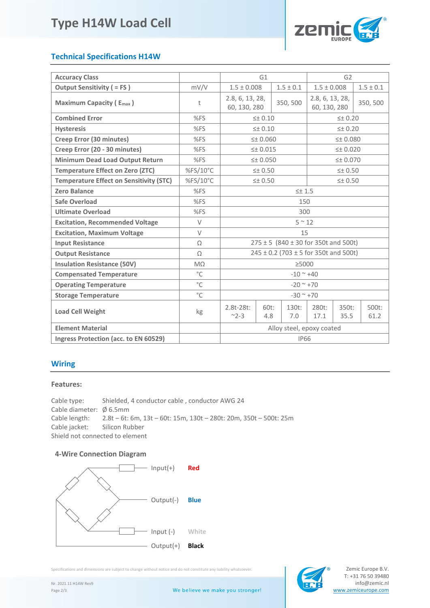# **Type H14W Load Cell**



## **Technical Specifications H14W**

| <b>Accuracy Class</b>                          | G1           |                                               |                    | G2                |                                 |                  |               |
|------------------------------------------------|--------------|-----------------------------------------------|--------------------|-------------------|---------------------------------|------------------|---------------|
| <b>Output Sensitivity ( = FS)</b>              | mV/V         | $1.5 \pm 0.008$                               |                    | $1.5 \pm 0.1$     | $1.5 \pm 0.008$                 |                  | $1.5 \pm 0.1$ |
| <b>Maximum Capacity (Emax)</b>                 | t            | 2.8, 6, 13, 28,<br>60, 130, 280               |                    | 350, 500          | 2.8, 6, 13, 28,<br>60, 130, 280 |                  | 350, 500      |
| <b>Combined Error</b>                          | %FS          |                                               | 5 ± 0.10           |                   | $\leq$ $\pm$ 0.20               |                  |               |
| <b>Hysteresis</b>                              | %FS          | $\leq$ $\pm$ 0.10                             |                    | $\leq$ $\pm$ 0.20 |                                 |                  |               |
| Creep Error (30 minutes)                       | %FS          | $\leq$ 0.060                                  |                    | $\leq$ 0.080      |                                 |                  |               |
| Creep Error (20 - 30 minutes)                  | %FS          | 5 ± 0.015                                     |                    | $\leq$ $+$ 0.020  |                                 |                  |               |
| <b>Minimum Dead Load Output Return</b>         | %FS          |                                               | $\leq$ $\pm$ 0.050 |                   | $\leq$ $+$ 0.070                |                  |               |
| <b>Temperature Effect on Zero (ZTC)</b>        | %FS/10°C     | $\leq$ $\pm$ 0.50                             |                    | $\leq$ $\pm$ 0.50 |                                 |                  |               |
| <b>Temperature Effect on Sensitivity (STC)</b> | %FS/10°C     | $\leq$ $\pm$ 0.50                             |                    | $\leq$ $\pm$ 0.50 |                                 |                  |               |
| <b>Zero Balance</b>                            | %FS          | $5 + 1.5$                                     |                    |                   |                                 |                  |               |
| <b>Safe Overload</b>                           | %FS          | 150                                           |                    |                   |                                 |                  |               |
| <b>Ultimate Overload</b>                       | %FS          | 300                                           |                    |                   |                                 |                  |               |
| <b>Excitation, Recommended Voltage</b>         | $\vee$       | $5~^{\sim}~12$                                |                    |                   |                                 |                  |               |
| <b>Excitation, Maximum Voltage</b>             | $\vee$       | 15                                            |                    |                   |                                 |                  |               |
| <b>Input Resistance</b>                        | Ω            | $275 \pm 5$ (840 $\pm$ 30 for 350t and 500t)  |                    |                   |                                 |                  |               |
| <b>Output Resistance</b>                       | $\Omega$     | $245 \pm 0.2$ (703 $\pm$ 5 for 350t and 500t) |                    |                   |                                 |                  |               |
| <b>Insulation Resistance (50V)</b>             | $M\Omega$    | >5000                                         |                    |                   |                                 |                  |               |
| <b>Compensated Temperature</b>                 | $^{\circ}$ C | $-10$ ~ $+40$                                 |                    |                   |                                 |                  |               |
| <b>Operating Temperature</b>                   | $^{\circ}$ C | $-20$ ~ $+70$                                 |                    |                   |                                 |                  |               |
| <b>Storage Temperature</b>                     | $^{\circ}$ C | $-30$ ~ $+70$                                 |                    |                   |                                 |                  |               |
| <b>Load Cell Weight</b>                        | kg           | $2.8t - 28t$ :<br>$~^{\sim}$ 2-3              | $60t$ :<br>4.8     | $130t$ :<br>7.0   | 280t:<br>17.1                   | $350t$ :<br>35.5 | 500t:<br>61.2 |
| <b>Element Material</b>                        |              | Alloy steel, epoxy coated                     |                    |                   |                                 |                  |               |
| Ingress Protection (acc. to EN 60529)          |              | <b>IP66</b>                                   |                    |                   |                                 |                  |               |

### **Wiring**

### **Features:**

Cable type: Shielded, 4 conductor cable , conductor AWG 24 Cable diameter: Ø 6.5mm Cable length: 2.8t – 6t: 6m, 13t – 60t: 15m, 130t – 280t: 20m, 350t – 500t: 25m Cable jacket: Silicon Rubber Shield not connected to element

### **4-Wire Connection Diagram**



Specifications and dimensions are subject to change without notice and do not constitute any liability whatsoever.